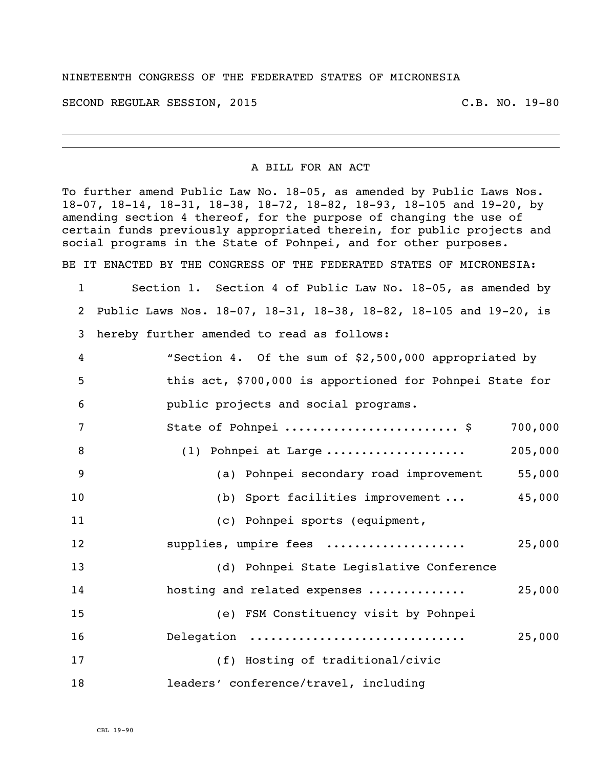## NINETEENTH CONGRESS OF THE FEDERATED STATES OF MICRONESIA

SECOND REGULAR SESSION, 2015 C.B. NO. 19-80

## A BILL FOR AN ACT

To further amend Public Law No. 18-05, as amended by Public Laws Nos. 18-07, 18-14, 18-31, 18-38, 18-72, 18-82, 18-93, 18-105 and 19-20, by amending section 4 thereof, for the purpose of changing the use of certain funds previously appropriated therein, for public projects and social programs in the State of Pohnpei, and for other purposes.

BE IT ENACTED BY THE CONGRESS OF THE FEDERATED STATES OF MICRONESIA:

 Section 1. Section 4 of Public Law No. 18-05, as amended by Public Laws Nos. 18-07, 18-31, 18-38, 18-82, 18-105 and 19-20, is hereby further amended to read as follows:

| 4              | "Section 4. Of the sum of \$2,500,000 appropriated by    |         |
|----------------|----------------------------------------------------------|---------|
| 5              | this act, \$700,000 is apportioned for Pohnpei State for |         |
| 6              | public projects and social programs.                     |         |
| 7              | State of Pohnpei  \$                                     | 700,000 |
| 8              | (1) Pohnpei at Large                                     | 205,000 |
| $\overline{9}$ | (a) Pohnpei secondary road improvement                   | 55,000  |
| 10             | (b) Sport facilities improvement                         | 45,000  |
| 11             | (c) Pohnpei sports (equipment,                           |         |
| 12             | supplies, umpire fees                                    | 25,000  |
| 13             | (d) Pohnpei State Legislative Conference                 |         |
| 14             | hosting and related expenses                             | 25,000  |
| 15             | (e) FSM Constituency visit by Pohnpei                    |         |
| 16             | Delegation                                               | 25,000  |
| 17             | (f) Hosting of traditional/civic                         |         |
| 18             | leaders' conference/travel, including                    |         |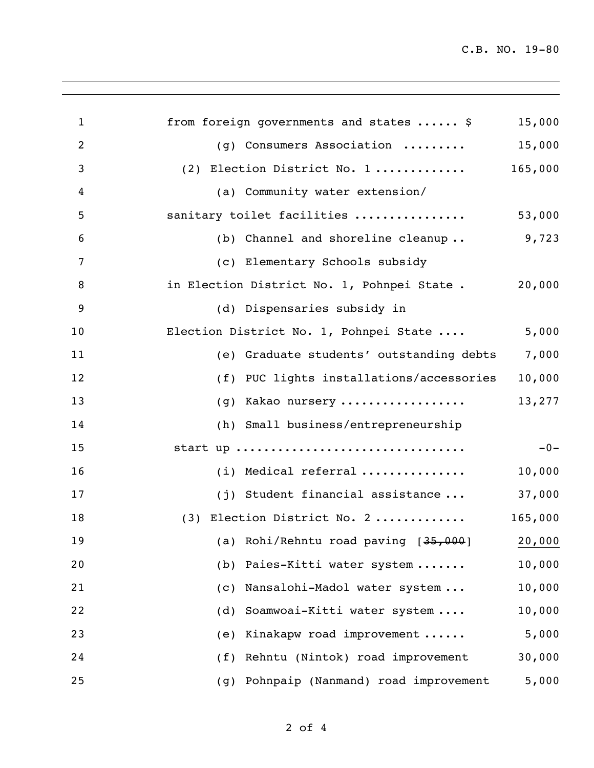C.B. NO. 19-80

| $\mathbf{1}$ | from foreign governments and states  \$           | 15,000  |
|--------------|---------------------------------------------------|---------|
| 2            | (g) Consumers Association                         | 15,000  |
| 3            | (2) Election District No. 1                       | 165,000 |
| 4            | (a) Community water extension/                    |         |
| 5            | sanitary toilet facilities                        | 53,000  |
| 6            | (b) Channel and shoreline cleanup                 | 9,723   |
| 7            | (c) Elementary Schools subsidy                    |         |
| 8            | in Election District No. 1, Pohnpei State .       | 20,000  |
| 9            | (d) Dispensaries subsidy in                       |         |
| 10           | Election District No. 1, Pohnpei State            | 5,000   |
| 11           | (e) Graduate students' outstanding debts          | 7,000   |
| 12           | (f) PUC lights installations/accessories          | 10,000  |
| 13           | (g) Kakao nursery                                 | 13,277  |
| 14           | (h) Small business/entrepreneurship               |         |
| 15           | start up                                          | $-0-$   |
| 16           | (i) Medical referral                              | 10,000  |
| 17           | (j) Student financial assistance                  | 37,000  |
| 18           | (3) Election District No. 2                       | 165,000 |
| 19           | (a) Rohi/Rehntu road paving [ <del>35,000</del> ] | 20,000  |
| 20           | (b) Paies-Kitti water system                      | 10,000  |
| 21           | Nansalohi-Madol water system<br>(C)               | 10,000  |
| 22           | Soamwoai-Kitti water system<br>(d)                | 10,000  |
| 23           | Kinakapw road improvement<br>(e)                  | 5,000   |
| 24           | Rehntu (Nintok) road improvement<br>(f)           | 30,000  |
| 25           | Pohnpaip (Nanmand) road improvement<br>(g)        | 5,000   |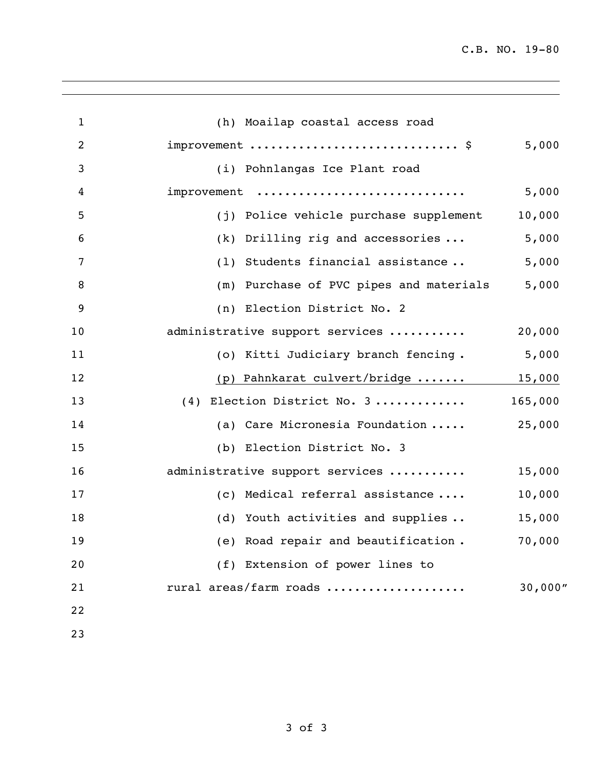C.B. NO. 19-80

| $\mathbf{1}$   | (h) Moailap coastal access road            |         |
|----------------|--------------------------------------------|---------|
| $\overline{c}$ | improvement  \$                            | 5,000   |
| 3              | (i) Pohnlangas Ice Plant road              |         |
| 4              | improvement                                | 5,000   |
| 5              | Police vehicle purchase supplement<br>(j)  | 10,000  |
| 6              | (k)<br>Drilling rig and accessories        | 5,000   |
| 7              | Students financial assistance<br>(1)       | 5,000   |
| 8              | Purchase of PVC pipes and materials<br>(m) | 5,000   |
| 9              | Election District No. 2<br>(n)             |         |
| 10             | administrative support services            | 20,000  |
| 11             | (o) Kitti Judiciary branch fencing.        | 5,000   |
| 12             | (p) Pahnkarat culvert/bridge  15,000       |         |
| 13             | (4) Election District No. 3                | 165,000 |
| 14             | (a) Care Micronesia Foundation             | 25,000  |
| 15             | (b) Election District No. 3                |         |
| 16             | administrative support services            | 15,000  |
| 17             | (c) Medical referral assistance            | 10,000  |
| 18             | (d) Youth activities and supplies          | 15,000  |
| 19             | (e) Road repair and beautification.        | 70,000  |
| 20             | (f) Extension of power lines to            |         |
| 21             | rural areas/farm roads                     | 30,000" |
| 22             |                                            |         |
| 23             |                                            |         |